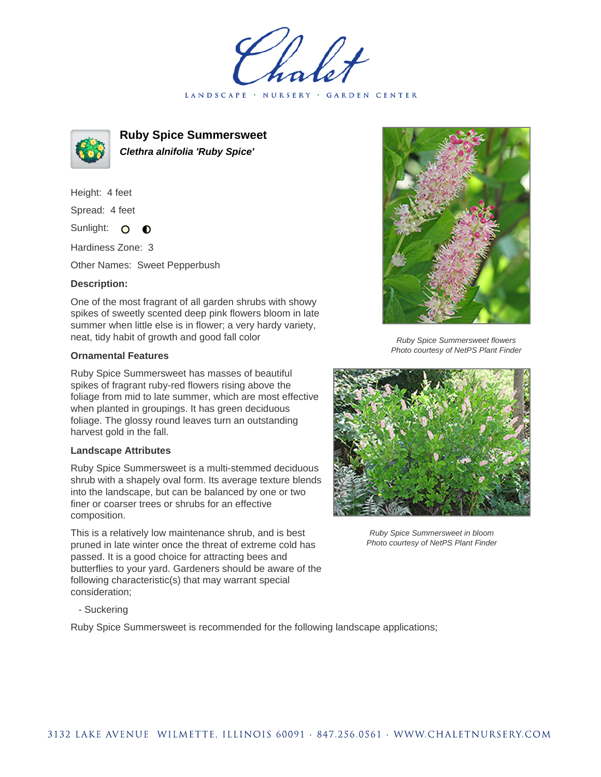LANDSCAPE · NURSERY · GARDEN CENTER



**Ruby Spice Summersweet Clethra alnifolia 'Ruby Spice'**

Height: 4 feet Spread: 4 feet

Sunlight: O  $\bullet$ 

Hardiness Zone: 3

Other Names: Sweet Pepperbush

## **Description:**

One of the most fragrant of all garden shrubs with showy spikes of sweetly scented deep pink flowers bloom in late summer when little else is in flower; a very hardy variety, neat, tidy habit of growth and good fall color

## **Ornamental Features**

Ruby Spice Summersweet has masses of beautiful spikes of fragrant ruby-red flowers rising above the foliage from mid to late summer, which are most effective when planted in groupings. It has green deciduous foliage. The glossy round leaves turn an outstanding harvest gold in the fall.

## **Landscape Attributes**

Ruby Spice Summersweet is a multi-stemmed deciduous shrub with a shapely oval form. Its average texture blends into the landscape, but can be balanced by one or two finer or coarser trees or shrubs for an effective composition.

This is a relatively low maintenance shrub, and is best pruned in late winter once the threat of extreme cold has passed. It is a good choice for attracting bees and butterflies to your yard. Gardeners should be aware of the following characteristic(s) that may warrant special consideration;



Ruby Spice Summersweet flowers Photo courtesy of NetPS Plant Finder



Ruby Spice Summersweet in bloom Photo courtesy of NetPS Plant Finder

- Suckering

Ruby Spice Summersweet is recommended for the following landscape applications;